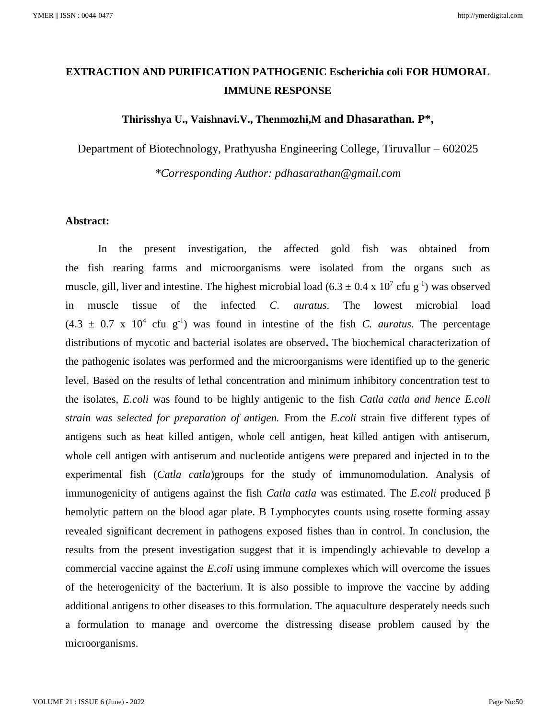# **EXTRACTION AND PURIFICATION PATHOGENIC Escherichia coli FOR HUMORAL IMMUNE RESPONSE**

# **Thirisshya U., Vaishnavi.V., Thenmozhi,M and Dhasarathan. P\*,**

Department of Biotechnology, Prathyusha Engineering College, Tiruvallur – 602025

*\*Corresponding Author: pdhasarathan@gmail.com*

### **Abstract:**

In the present investigation, the affected gold fish was obtained from the fish rearing farms and microorganisms were isolated from the organs such as muscle, gill, liver and intestine. The highest microbial load  $(6.3 \pm 0.4 \times 10^7 \text{ c}$ fu g<sup>-1</sup>) was observed in muscle tissue of the infected *C. auratus*. The lowest microbial load  $(4.3 \pm 0.7 \times 10^4 \text{ cfu g}^{-1})$  was found in intestine of the fish *C. auratus*. The percentage distributions of mycotic and bacterial isolates are observed**.** The biochemical characterization of the pathogenic isolates was performed and the microorganisms were identified up to the generic level. Based on the results of lethal concentration and minimum inhibitory concentration test to the isolates, *E.coli* was found to be highly antigenic to the fish *Catla catla and hence E.coli strain was selected for preparation of antigen.* From the *E.coli* strain five different types of antigens such as heat killed antigen, whole cell antigen, heat killed antigen with antiserum, whole cell antigen with antiserum and nucleotide antigens were prepared and injected in to the experimental fish (*Catla catla*)groups for the study of immunomodulation. Analysis of immunogenicity of antigens against the fish *Catla catla* was estimated. The *E.coli* produced β hemolytic pattern on the blood agar plate. B Lymphocytes counts using rosette forming assay revealed significant decrement in pathogens exposed fishes than in control. In conclusion, the results from the present investigation suggest that it is impendingly achievable to develop a commercial vaccine against the *E.coli* using immune complexes which will overcome the issues of the heterogenicity of the bacterium. It is also possible to improve the vaccine by adding additional antigens to other diseases to this formulation. The aquaculture desperately needs such a formulation to manage and overcome the distressing disease problem caused by the microorganisms.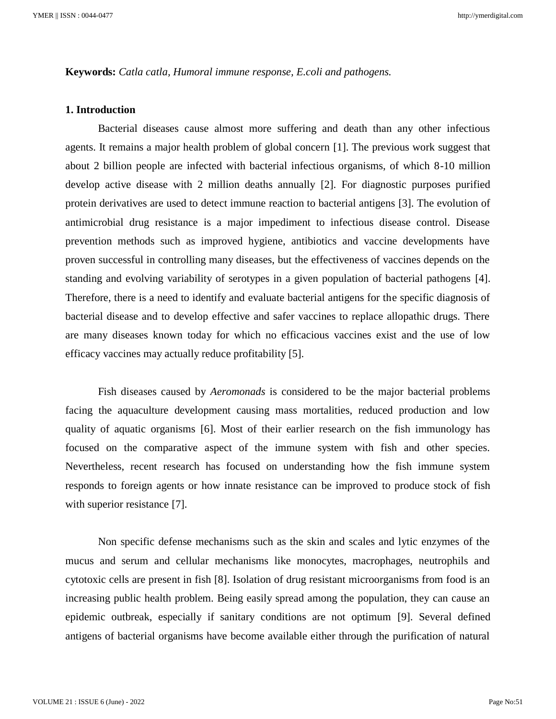**Keywords:** *Catla catla, Humoral immune response, E.coli and pathogens.*

# **1. Introduction**

Bacterial diseases cause almost more suffering and death than any other infectious agents. It remains a major health problem of global concern [1]. The previous work suggest that about 2 billion people are infected with bacterial infectious organisms, of which 8-10 million develop active disease with 2 million deaths annually [2]. For diagnostic purposes purified protein derivatives are used to detect immune reaction to bacterial antigens [3]. The evolution of antimicrobial drug resistance is a major impediment to infectious disease control. Disease prevention methods such as improved hygiene, antibiotics and vaccine developments have proven successful in controlling many diseases, but the effectiveness of vaccines depends on the standing and evolving variability of serotypes in a given population of bacterial pathogens [4]. Therefore, there is a need to identify and evaluate bacterial antigens for the specific diagnosis of bacterial disease and to develop effective and safer vaccines to replace allopathic drugs. There are many diseases known today for which no efficacious vaccines exist and the use of low efficacy vaccines may actually reduce profitability [5].

Fish diseases caused by *Aeromonads* is considered to be the major bacterial problems facing the aquaculture development causing mass mortalities, reduced production and low quality of aquatic organisms [6]. Most of their earlier research on the fish immunology has focused on the comparative aspect of the immune system with fish and other species. Nevertheless, recent research has focused on understanding how the fish immune system responds to foreign agents or how innate resistance can be improved to produce stock of fish with superior resistance [7].

Non specific defense mechanisms such as the skin and scales and lytic enzymes of the mucus and serum and cellular mechanisms like monocytes, macrophages, neutrophils and cytotoxic cells are present in fish [8]. Isolation of drug resistant microorganisms from food is an increasing public health problem. Being easily spread among the population, they can cause an epidemic outbreak, especially if sanitary conditions are not optimum [9]. Several defined antigens of bacterial organisms have become available either through the purification of natural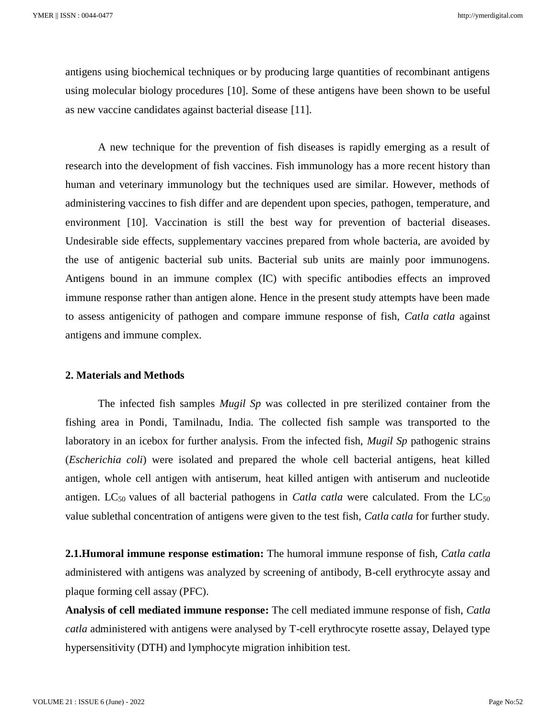antigens using biochemical techniques or by producing large quantities of recombinant antigens using molecular biology procedures [10]. Some of these antigens have been shown to be useful as new vaccine candidates against bacterial disease [11].

A new technique for the prevention of fish diseases is rapidly emerging as a result of research into the development of fish vaccines. Fish immunology has a more recent history than human and veterinary immunology but the techniques used are similar. However, methods of administering vaccines to fish differ and are dependent upon species, pathogen, temperature, and environment [10]. Vaccination is still the best way for prevention of bacterial diseases. Undesirable side effects, supplementary vaccines prepared from whole bacteria, are avoided by the use of antigenic bacterial sub units. Bacterial sub units are mainly poor immunogens. Antigens bound in an immune complex (IC) with specific antibodies effects an improved immune response rather than antigen alone. Hence in the present study attempts have been made to assess antigenicity of pathogen and compare immune response of fish, *Catla catla* against antigens and immune complex.

### **2. Materials and Methods**

The infected fish samples *Mugil Sp* was collected in pre sterilized container from the fishing area in Pondi, Tamilnadu, India. The collected fish sample was transported to the laboratory in an icebox for further analysis. From the infected fish, *Mugil Sp* pathogenic strains (*Escherichia coli*) were isolated and prepared the whole cell bacterial antigens, heat killed antigen, whole cell antigen with antiserum, heat killed antigen with antiserum and nucleotide antigen. LC<sub>50</sub> values of all bacterial pathogens in *Catla catla* were calculated. From the LC<sub>50</sub> value sublethal concentration of antigens were given to the test fish, *Catla catla* for further study.

**2.1.Humoral immune response estimation:** The humoral immune response of fish, *Catla catla*  administered with antigens was analyzed by screening of antibody, B-cell erythrocyte assay and plaque forming cell assay (PFC).

**Analysis of cell mediated immune response:** The cell mediated immune response of fish, *Catla catla* administered with antigens were analysed by T-cell erythrocyte rosette assay, Delayed type hypersensitivity (DTH) and lymphocyte migration inhibition test.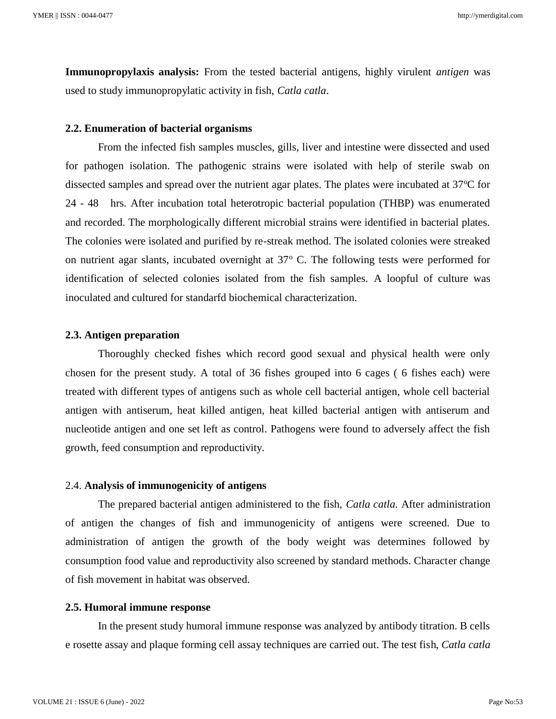**Immunopropylaxis analysis:** From the tested bacterial antigens, highly virulent *antigen* was used to study immunopropylatic activity in fish, *Catla catla*.

#### **2.2. Enumeration of bacterial organisms**

From the infected fish samples muscles, gills, liver and intestine were dissected and used for pathogen isolation. The pathogenic strains were isolated with help of sterile swab on dissected samples and spread over the nutrient agar plates. The plates were incubated at 37<sup>o</sup>C for 24 - 48 hrs. After incubation total heterotropic bacterial population (THBP) was enumerated and recorded. The morphologically different microbial strains were identified in bacterial plates. The colonies were isolated and purified by re-streak method. The isolated colonies were streaked on nutrient agar slants, incubated overnight at  $37^{\circ}$  C. The following tests were performed for identification of selected colonies isolated from the fish samples. A loopful of culture was inoculated and cultured for standarfd biochemical characterization.

### **2.3. Antigen preparation**

Thoroughly checked fishes which record good sexual and physical health were only chosen for the present study. A total of 36 fishes grouped into 6 cages ( 6 fishes each) were treated with different types of antigens such as whole cell bacterial antigen, whole cell bacterial antigen with antiserum, heat killed antigen, heat killed bacterial antigen with antiserum and nucleotide antigen and one set left as control. Pathogens were found to adversely affect the fish growth, feed consumption and reproductivity.

### 2.4. **Analysis of immunogenicity of antigens**

The prepared bacterial antigen administered to the fish, *Catla catla.* After administration of antigen the changes of fish and immunogenicity of antigens were screened. Due to administration of antigen the growth of the body weight was determines followed by consumption food value and reproductivity also screened by standard methods. Character change of fish movement in habitat was observed.

#### **2.5. Humoral immune response**

In the present study humoral immune response was analyzed by antibody titration. B cells e rosette assay and plaque forming cell assay techniques are carried out. The test fish, *Catla catla*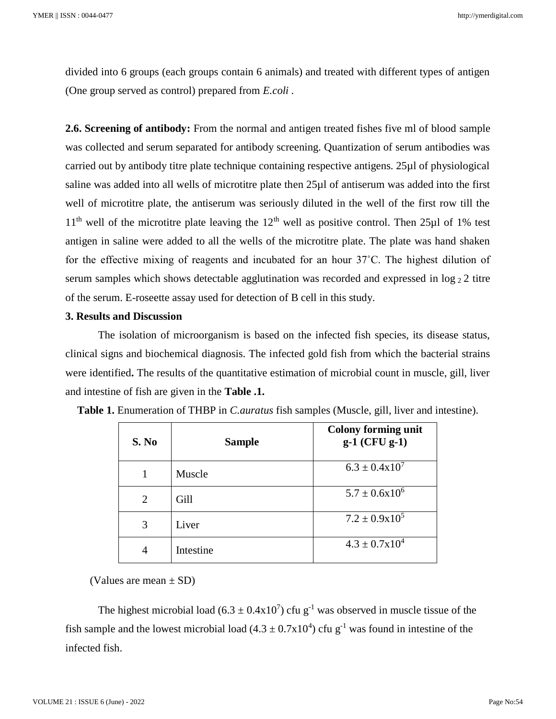divided into 6 groups (each groups contain 6 animals) and treated with different types of antigen (One group served as control) prepared from *E.coli .* 

**2.6. Screening of antibody:** From the normal and antigen treated fishes five ml of blood sample was collected and serum separated for antibody screening. Quantization of serum antibodies was carried out by antibody titre plate technique containing respective antigens. 25µl of physiological saline was added into all wells of microtitre plate then 25µl of antiserum was added into the first well of microtitre plate, the antiserum was seriously diluted in the well of the first row till the  $11<sup>th</sup>$  well of the microtitre plate leaving the  $12<sup>th</sup>$  well as positive control. Then 25µl of 1% test antigen in saline were added to all the wells of the microtitre plate. The plate was hand shaken for the effective mixing of reagents and incubated for an hour 37˚C. The highest dilution of serum samples which shows detectable agglutination was recorded and expressed in  $\log_2 2$  titre of the serum. E-roseette assay used for detection of B cell in this study.

# **3. Results and Discussion**

The isolation of microorganism is based on the infected fish species, its disease status, clinical signs and biochemical diagnosis. The infected gold fish from which the bacterial strains were identified**.** The results of the quantitative estimation of microbial count in muscle, gill, liver and intestine of fish are given in the **Table .1.**

| S. No | <b>Sample</b> | <b>Colony forming unit</b><br>$g-1$ (CFU $g-1$ ) |
|-------|---------------|--------------------------------------------------|
|       | Muscle        | $6.3 \pm 0.4 \times 10^7$                        |
| 2     | Gill          | $5.7 \pm 0.6x10^6$                               |
| 3     | Liver         | $7.2 \pm 0.9x10^5$                               |
| 4     | Intestine     | $4.3 \pm 0.7 \times 10^4$                        |

**Table 1.** Enumeration of THBP in *C.auratus* fish samples (Muscle, gill, liver and intestine).

(Values are mean  $\pm$  SD)

The highest microbial load  $(6.3 \pm 0.4 \times 10^7)$  cfu g<sup>-1</sup> was observed in muscle tissue of the fish sample and the lowest microbial load  $(4.3 \pm 0.7 \times 10^4)$  cfu g<sup>-1</sup> was found in intestine of the infected fish.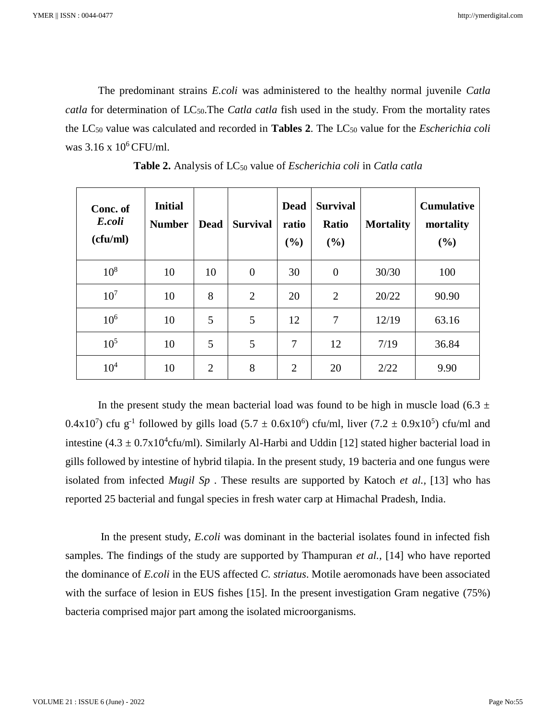The predominant strains *E.coli* was administered to the healthy normal juvenile *Catla catla* for determination of LC<sub>50</sub>. The *Catla catla* fish used in the study. From the mortality rates the LC<sup>50</sup> value was calculated and recorded in **Tables 2**. The LC<sup>50</sup> value for the *Escherichia coli* was  $3.16 \times 10^6$  CFU/ml.

| Conc. of<br>E.coli<br>(cfu/ml) | <b>Initial</b><br><b>Number</b> | <b>Dead</b>    | <b>Survival</b> | <b>Dead</b><br>ratio<br>(%) | <b>Survival</b><br>Ratio<br>(9/0) | <b>Mortality</b> | <b>Cumulative</b><br>mortality<br>(%) |
|--------------------------------|---------------------------------|----------------|-----------------|-----------------------------|-----------------------------------|------------------|---------------------------------------|
| $10^{8}$                       | 10                              | 10             | $\overline{0}$  | 30                          | $\theta$                          | 30/30            | 100                                   |
| 10 <sup>7</sup>                | 10                              | 8              | 2               | 20                          | $\overline{2}$                    | 20/22            | 90.90                                 |
| $10^{6}$                       | 10                              | 5              | 5               | 12                          | 7                                 | 12/19            | 63.16                                 |
| $10^{5}$                       | 10                              | 5              | 5               | 7                           | 12                                | 7/19             | 36.84                                 |
| $10^{4}$                       | 10                              | $\overline{2}$ | 8               | $\overline{2}$              | 20                                | 2/22             | 9.90                                  |

Table 2. Analysis of LC<sub>50</sub> value of *Escherichia coli* in *Catla catla* 

In the present study the mean bacterial load was found to be high in muscle load (6.3  $\pm$ 0.4x10<sup>7</sup>) cfu g<sup>-1</sup> followed by gills load  $(5.7 \pm 0.6x10^6)$  cfu/ml, liver  $(7.2 \pm 0.9x10^5)$  cfu/ml and intestine  $(4.3 \pm 0.7 \times 10^4$ cfu/ml). Similarly Al-Harbi and Uddin [12] stated higher bacterial load in gills followed by intestine of hybrid tilapia. In the present study, 19 bacteria and one fungus were isolated from infected *Mugil Sp* . These results are supported by Katoch *et al.,* [13] who has reported 25 bacterial and fungal species in fresh water carp at Himachal Pradesh, India.

In the present study, *E.coli* was dominant in the bacterial isolates found in infected fish samples. The findings of the study are supported by Thampuran *et al.,* [14] who have reported the dominance of *E.coli* in the EUS affected *C. striatus*. Motile aeromonads have been associated with the surface of lesion in EUS fishes [15]. In the present investigation Gram negative (75%) bacteria comprised major part among the isolated microorganisms.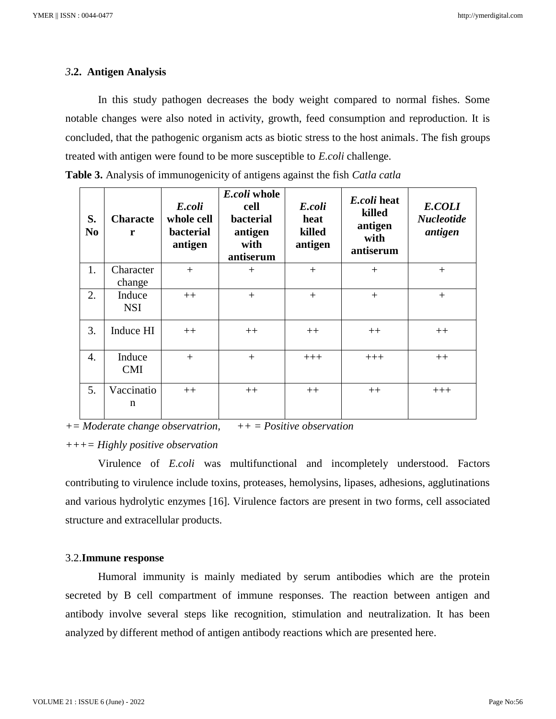### *3***.2. Antigen Analysis**

In this study pathogen decreases the body weight compared to normal fishes. Some notable changes were also noted in activity, growth, feed consumption and reproduction. It is concluded, that the pathogenic organism acts as biotic stress to the host animals. The fish groups treated with antigen were found to be more susceptible to *E.coli* challenge.

| S.<br>N <sub>0</sub> | <b>Characte</b><br>r | E.coli<br>whole cell<br><b>bacterial</b><br>antigen | E.coli whole<br>cell<br>bacterial<br>antigen<br>with<br>antiserum | E.coli<br>heat<br>killed<br>antigen | E.coli heat<br>killed<br>antigen<br>with<br>antiserum | E.COLI<br><b>Nucleotide</b><br>antigen |
|----------------------|----------------------|-----------------------------------------------------|-------------------------------------------------------------------|-------------------------------------|-------------------------------------------------------|----------------------------------------|
| 1.                   | Character<br>change  | $+$                                                 | $+$                                                               | $^{+}$                              | $^{+}$                                                | $^{+}$                                 |
| 2.                   | Induce<br><b>NSI</b> | $++$                                                | $+$                                                               | $^{+}$                              | $^{+}$                                                | $^{+}$                                 |
| 3.                   | Induce HI            | $++$                                                | $++$                                                              | $++$                                | $++$                                                  | $++$                                   |
| 4.                   | Induce<br><b>CMI</b> | $+$                                                 | $^{+}$                                                            | $+++$                               | $+++$                                                 | $++$                                   |
| 5.                   | Vaccinatio<br>n      | $++$                                                | $++$                                                              | $++$                                | $++$                                                  | $+++$                                  |

**Table 3.** Analysis of immunogenicity of antigens against the fish *Catla catla*

*+= Moderate change observatrion, ++ = Positive observation*

# *+++= Highly positive observation*

Virulence of *E.coli* was multifunctional and incompletely understood. Factors contributing to virulence include toxins, proteases, hemolysins, lipases, adhesions, agglutinations and various hydrolytic enzymes [16]. Virulence factors are present in two forms, cell associated structure and extracellular products.

#### 3.2.**Immune response**

Humoral immunity is mainly mediated by serum antibodies which are the protein secreted by B cell compartment of immune responses. The reaction between antigen and antibody involve several steps like recognition, stimulation and neutralization. It has been analyzed by different method of antigen antibody reactions which are presented here.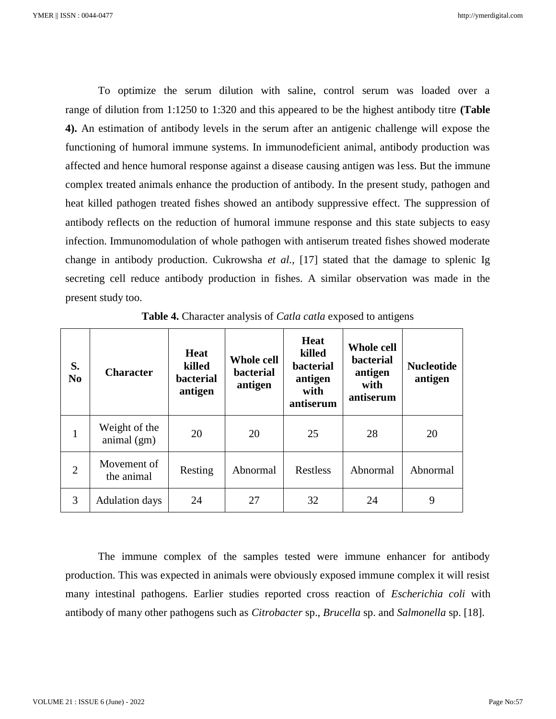To optimize the serum dilution with saline, control serum was loaded over a range of dilution from 1:1250 to 1:320 and this appeared to be the highest antibody titre **(Table 4).** An estimation of antibody levels in the serum after an antigenic challenge will expose the functioning of humoral immune systems. In immunodeficient animal, antibody production was affected and hence humoral response against a disease causing antigen was less. But the immune complex treated animals enhance the production of antibody. In the present study, pathogen and heat killed pathogen treated fishes showed an antibody suppressive effect. The suppression of antibody reflects on the reduction of humoral immune response and this state subjects to easy infection. Immunomodulation of whole pathogen with antiserum treated fishes showed moderate change in antibody production. Cukrowsha *et al.,* [17] stated that the damage to splenic Ig secreting cell reduce antibody production in fishes. A similar observation was made in the present study too.

| S.<br>N <sub>0</sub> | <b>Character</b>               | Heat<br>killed<br><b>bacterial</b><br>antigen | <b>Whole cell</b><br><b>bacterial</b><br>antigen | <b>Heat</b><br>killed<br><b>bacterial</b><br>antigen<br>with<br>antiserum | <b>Whole cell</b><br>bacterial<br>antigen<br>with<br>antiserum | <b>Nucleotide</b><br>antigen |
|----------------------|--------------------------------|-----------------------------------------------|--------------------------------------------------|---------------------------------------------------------------------------|----------------------------------------------------------------|------------------------------|
| $\mathbf{1}$         | Weight of the<br>animal $(gm)$ | 20                                            | 20                                               | 25                                                                        | 28                                                             | 20                           |
| $\overline{2}$       | Movement of<br>the animal      | Resting                                       | Abnormal                                         | <b>Restless</b>                                                           | Abnormal                                                       | Abnormal                     |
| 3                    | <b>Adulation days</b>          | 24                                            | 27                                               | 32                                                                        | 24                                                             | 9                            |

**Table 4.** Character analysis of *Catla catla* exposed to antigens

The immune complex of the samples tested were immune enhancer for antibody production. This was expected in animals were obviously exposed immune complex it will resist many intestinal pathogens. Earlier studies reported cross reaction of *Escherichia coli* with antibody of many other pathogens such as *Citrobacter* sp., *Brucella* sp. and *Salmonella* sp. [18].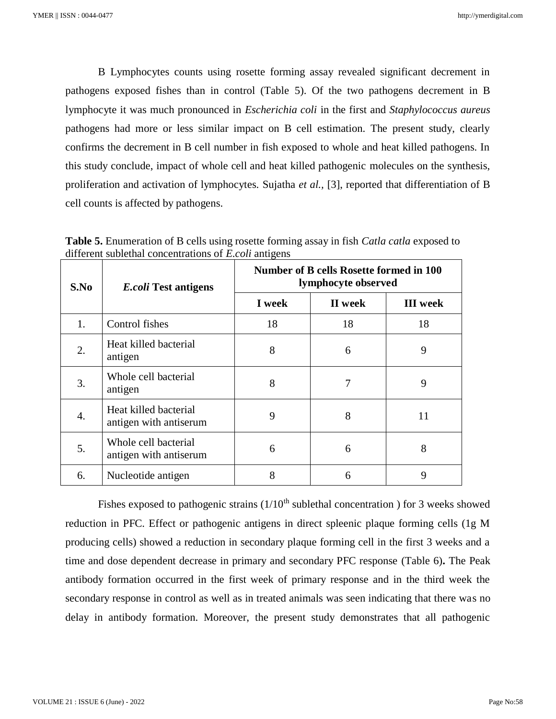B Lymphocytes counts using rosette forming assay revealed significant decrement in pathogens exposed fishes than in control (Table 5). Of the two pathogens decrement in B lymphocyte it was much pronounced in *Escherichia coli* in the first and *Staphylococcus aureus* pathogens had more or less similar impact on B cell estimation. The present study, clearly confirms the decrement in B cell number in fish exposed to whole and heat killed pathogens. In this study conclude, impact of whole cell and heat killed pathogenic molecules on the synthesis, proliferation and activation of lymphocytes. Sujatha *et al.,* [3], reported that differentiation of B cell counts is affected by pathogens.

**Table 5.** Enumeration of B cells using rosette forming assay in fish *Catla catla* exposed to different sublethal concentrations of *E.coli* antigens

| S.No | <i>E.coli</i> Test antigens                     | Number of B cells Rosette formed in 100<br>lymphocyte observed |         |                 |  |
|------|-------------------------------------------------|----------------------------------------------------------------|---------|-----------------|--|
|      |                                                 | I week                                                         | II week | <b>III</b> week |  |
| 1.   | Control fishes                                  | 18                                                             | 18      | 18              |  |
| 2.   | Heat killed bacterial<br>antigen                | 8                                                              | 6       | 9               |  |
| 3.   | Whole cell bacterial<br>antigen                 | 8                                                              | 7       | 9               |  |
| 4.   | Heat killed bacterial<br>antigen with antiserum | 9                                                              | 8       | 11              |  |
| 5.   | Whole cell bacterial<br>antigen with antiserum  | 6                                                              | 6       | 8               |  |
| 6.   | Nucleotide antigen                              | 8                                                              | 6       | 9               |  |

Fishes exposed to pathogenic strains  $(1/10<sup>th</sup>$  sublethal concentration ) for 3 weeks showed reduction in PFC. Effect or pathogenic antigens in direct spleenic plaque forming cells (1g M producing cells) showed a reduction in secondary plaque forming cell in the first 3 weeks and a time and dose dependent decrease in primary and secondary PFC response (Table 6)**.** The Peak antibody formation occurred in the first week of primary response and in the third week the secondary response in control as well as in treated animals was seen indicating that there was no delay in antibody formation. Moreover, the present study demonstrates that all pathogenic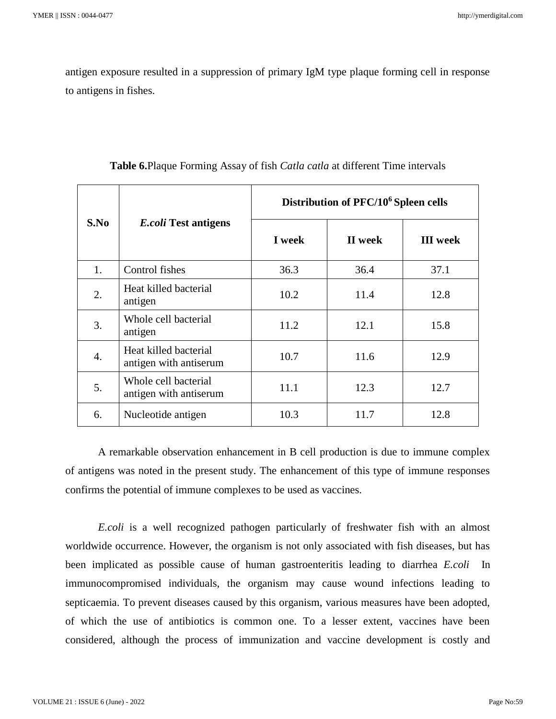antigen exposure resulted in a suppression of primary IgM type plaque forming cell in response to antigens in fishes.

|                  |                                                 | Distribution of PFC/10 <sup>6</sup> Spleen cells |         |                 |  |
|------------------|-------------------------------------------------|--------------------------------------------------|---------|-----------------|--|
| S.No             | <i>E.coli</i> Test antigens                     | I week                                           | II week | <b>III</b> week |  |
| 1.               | Control fishes                                  | 36.3                                             | 36.4    | 37.1            |  |
| 2.               | Heat killed bacterial<br>antigen                | 10.2                                             | 11.4    | 12.8            |  |
| 3.               | Whole cell bacterial<br>antigen                 | 11.2                                             | 12.1    | 15.8            |  |
| $\overline{4}$ . | Heat killed bacterial<br>antigen with antiserum | 10.7                                             | 11.6    | 12.9            |  |
| 5.               | Whole cell bacterial<br>antigen with antiserum  | 11.1                                             | 12.3    | 12.7            |  |
| 6.               | Nucleotide antigen                              | 10.3                                             | 11.7    | 12.8            |  |

**Table 6.**Plaque Forming Assay of fish *Catla catla* at different Time intervals

A remarkable observation enhancement in B cell production is due to immune complex of antigens was noted in the present study. The enhancement of this type of immune responses confirms the potential of immune complexes to be used as vaccines.

*E.coli* is a well recognized pathogen particularly of freshwater fish with an almost worldwide occurrence. However, the organism is not only associated with fish diseases, but has been implicated as possible cause of human gastroenteritis leading to diarrhea *E.coli* In immunocompromised individuals, the organism may cause wound infections leading to septicaemia. To prevent diseases caused by this organism, various measures have been adopted, of which the use of antibiotics is common one. To a lesser extent, vaccines have been considered, although the process of immunization and vaccine development is costly and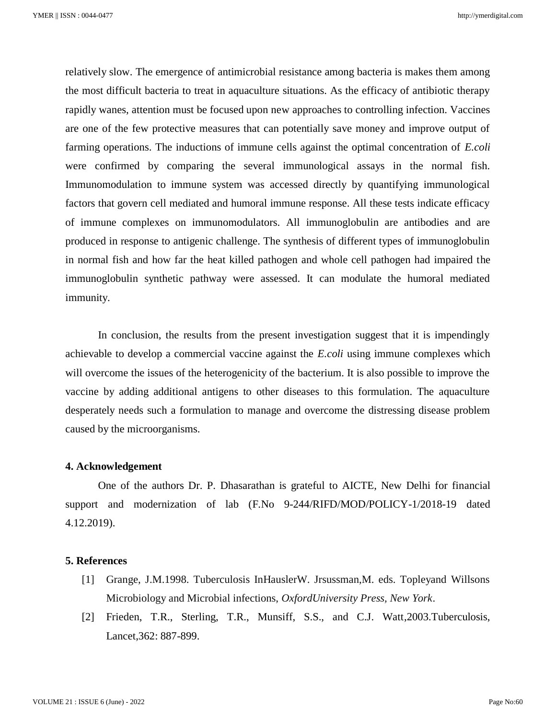relatively slow. The emergence of antimicrobial resistance among bacteria is makes them among the most difficult bacteria to treat in aquaculture situations. As the efficacy of antibiotic therapy rapidly wanes, attention must be focused upon new approaches to controlling infection. Vaccines are one of the few protective measures that can potentially save money and improve output of farming operations. The inductions of immune cells against the optimal concentration of *E.coli*  were confirmed by comparing the several immunological assays in the normal fish. Immunomodulation to immune system was accessed directly by quantifying immunological factors that govern cell mediated and humoral immune response. All these tests indicate efficacy of immune complexes on immunomodulators. All immunoglobulin are antibodies and are produced in response to antigenic challenge. The synthesis of different types of immunoglobulin in normal fish and how far the heat killed pathogen and whole cell pathogen had impaired the immunoglobulin synthetic pathway were assessed. It can modulate the humoral mediated immunity.

In conclusion, the results from the present investigation suggest that it is impendingly achievable to develop a commercial vaccine against the *E.coli* using immune complexes which will overcome the issues of the heterogenicity of the bacterium. It is also possible to improve the vaccine by adding additional antigens to other diseases to this formulation. The aquaculture desperately needs such a formulation to manage and overcome the distressing disease problem caused by the microorganisms.

### **4. Acknowledgement**

One of the authors Dr. P. Dhasarathan is grateful to AICTE, New Delhi for financial support and modernization of lab (F.No 9-244/RIFD/MOD/POLICY-1/2018-19 dated 4.12.2019).

### **5. References**

- [1] Grange, J.M.1998. Tuberculosis InHauslerW. Jrsussman,M. eds. Topleyand Willsons Microbiology and Microbial infections, *OxfordUniversity Press, New York*.
- [2] Frieden, T.R., Sterling, T.R., Munsiff, S.S., and C.J. Watt,2003.Tuberculosis, Lancet,362: 887-899.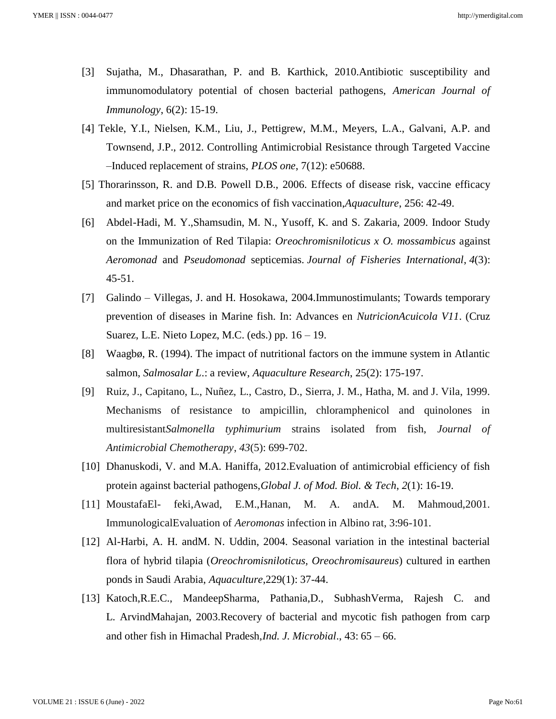- [3] Sujatha, M., Dhasarathan, P. and B. Karthick, 2010.Antibiotic susceptibility and immunomodulatory potential of chosen bacterial pathogens, *American Journal of Immunology*, 6(2): 15-19.
- [4] Tekle, Y.I., Nielsen, K.M., Liu, J., Pettigrew, M.M., Meyers, L.A., Galvani, A.P. and Townsend, J.P., 2012. Controlling Antimicrobial Resistance through Targeted Vaccine –Induced replacement of strains, *PLOS one*, 7(12): e50688.
- [5] Thorarinsson, R. and D.B. Powell D.B., 2006. Effects of disease risk, vaccine efficacy and market price on the economics of fish vaccination,*Aquaculture*, 256: 42-49.
- [6] Abdel-Hadi, M. Y.,Shamsudin, M. N., Yusoff, K. and S. Zakaria, 2009. Indoor Study on the Immunization of Red Tilapia: *Oreochromisniloticus x O. mossambicus* against *Aeromonad* and *Pseudomonad* septicemias. *Journal of Fisheries International*, *4*(3): 45-51.
- [7] Galindo Villegas, J. and H. Hosokawa, 2004.Immunostimulants; Towards temporary prevention of diseases in Marine fish. In: Advances en *NutricionAcuicola V11*. (Cruz Suarez, L.E. Nieto Lopez, M.C. (eds.) pp.  $16 - 19$ .
- [8] Waagbø, R. (1994). The impact of nutritional factors on the immune system in Atlantic salmon, *Salmosalar L*.: a review, *Aquaculture Research*, 25(2): 175-197.
- [9] Ruiz, J., Capitano, L., Nuñez, L., Castro, D., Sierra, J. M., Hatha, M. and J. Vila, 1999. Mechanisms of resistance to ampicillin, chloramphenicol and quinolones in multiresistant*Salmonella typhimurium* strains isolated from fish, *Journal of Antimicrobial Chemotherapy*, *43*(5): 699-702.
- [10] Dhanuskodi, V. and M.A. Haniffa, 2012.Evaluation of antimicrobial efficiency of fish protein against bacterial pathogens,*Global J. of Mod. Biol. & Tech*, *2*(1): 16-19.
- [11] MoustafaEl- feki,Awad, E.M.,Hanan, M. A. andA. M. Mahmoud,2001. ImmunologicalEvaluation of *Aeromonas* infection in Albino rat, 3:96-101.
- [12] Al-Harbi, A. H. andM. N. Uddin, 2004. Seasonal variation in the intestinal bacterial flora of hybrid tilapia (*Oreochromisniloticus, Oreochromisaureus*) cultured in earthen ponds in Saudi Arabia, *Aquaculture*,229(1): 37-44.
- [13] Katoch,R.E.C., MandeepSharma, Pathania,D., SubhashVerma, Rajesh C. and L. ArvindMahajan, 2003.Recovery of bacterial and mycotic fish pathogen from carp and other fish in Himachal Pradesh,*Ind. J. Microbial*., 43: 65 – 66.